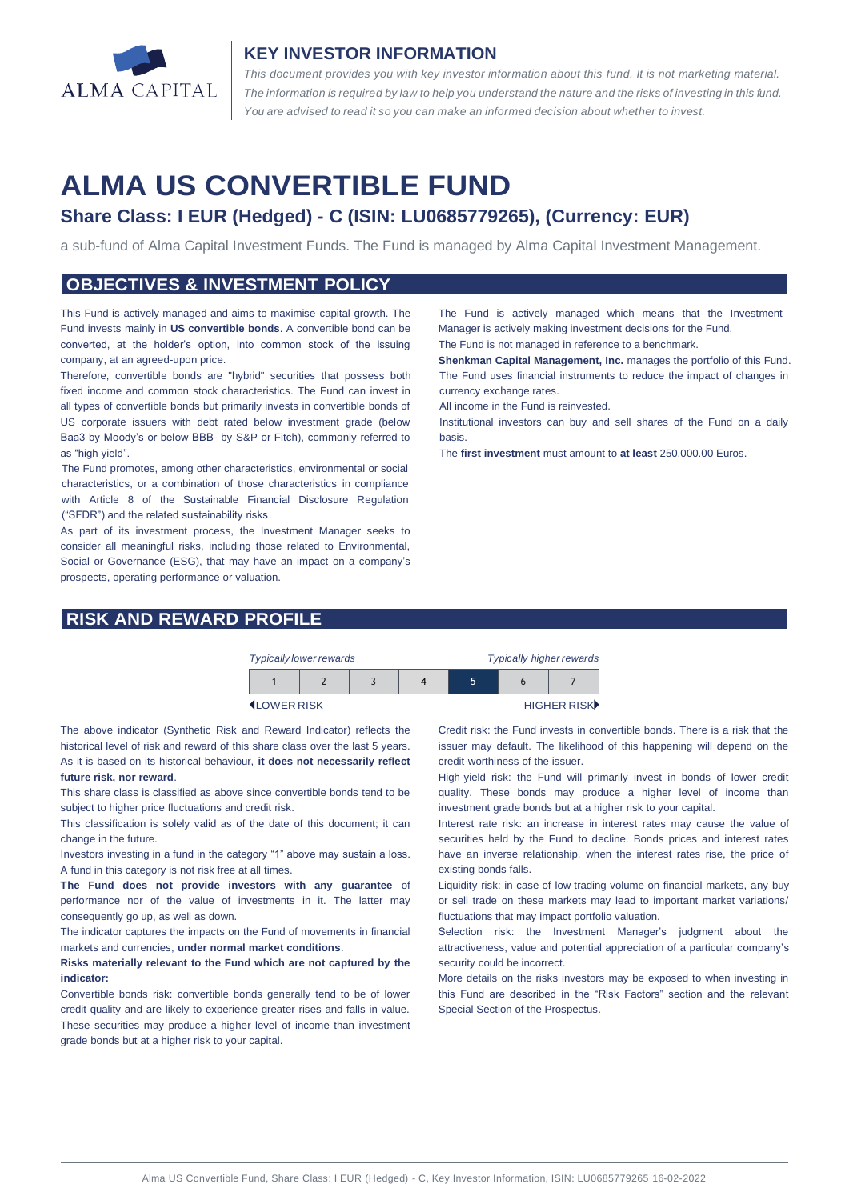

## **KEY INVESTOR INFORMATION**

*This document provides you with key investor information about this fund. It is not marketing material.*  The information is required by law to help you understand the nature and the risks of investing in this fund. *You are advised to read it so you can make an informed decision about whether to invest.*

# **ALMA US CONVERTIBLE FUND**

# **Share Class: I EUR (Hedged) - C (ISIN: LU0685779265), (Currency: EUR)**

a sub-fund of Alma Capital Investment Funds. The Fund is managed by Alma Capital Investment Management.

#### **OBJECTIVES & INVESTMENT POLICY**

This Fund is actively managed and aims to maximise capital growth. The Fund invests mainly in **US convertible bonds**. A convertible bond can be converted, at the holder's option, into common stock of the issuing company, at an agreed-upon price.

Therefore, convertible bonds are "hybrid" securities that possess both fixed income and common stock characteristics. The Fund can invest in all types of convertible bonds but primarily invests in convertible bonds of US corporate issuers with debt rated below investment grade (below Baa3 by Moody's or below BBB- by S&P or Fitch), commonly referred to as "high yield".

The Fund promotes, among other characteristics, environmental or social characteristics, or a combination of those characteristics in compliance with Article 8 of the Sustainable Financial Disclosure Regulation ("SFDR") and the related sustainability risks.

As part of its investment process, the Investment Manager seeks to consider all meaningful risks, including those related to Environmental, Social or Governance (ESG), that may have an impact on a company's prospects, operating performance or valuation.

# **RISK AND REWARD PROFILE**

The Fund is actively managed which means that the Investment Manager is actively making investment decisions for the Fund.

The Fund is not managed in reference to a benchmark.

**Shenkman Capital Management, Inc.** manages the portfolio of this Fund. The Fund uses financial instruments to reduce the impact of changes in currency exchange rates.

All income in the Fund is reinvested.

Institutional investors can buy and sell shares of the Fund on a daily basis.

The **first investment** must amount to **at least** 250,000.00 Euros.



LOWER RISK HIGHER RISK

The above indicator (Synthetic Risk and Reward Indicator) reflects the historical level of risk and reward of this share class over the last 5 years. As it is based on its historical behaviour, **it does not necessarily reflect future risk, nor reward**.

This share class is classified as above since convertible bonds tend to be subject to higher price fluctuations and credit risk.

This classification is solely valid as of the date of this document; it can change in the future.

Investors investing in a fund in the category "1" above may sustain a loss. A fund in this category is not risk free at all times.

**The Fund does not provide investors with any guarantee** of performance nor of the value of investments in it. The latter may consequently go up, as well as down.

The indicator captures the impacts on the Fund of movements in financial markets and currencies, **under normal market conditions**.

**Risks materially relevant to the Fund which are not captured by the indicator:** 

Convertible bonds risk: convertible bonds generally tend to be of lower credit quality and are likely to experience greater rises and falls in value. These securities may produce a higher level of income than investment grade bonds but at a higher risk to your capital.

Credit risk: the Fund invests in convertible bonds. There is a risk that the issuer may default. The likelihood of this happening will depend on the credit-worthiness of the issuer.

High-yield risk: the Fund will primarily invest in bonds of lower credit quality. These bonds may produce a higher level of income than investment grade bonds but at a higher risk to your capital.

Interest rate risk: an increase in interest rates may cause the value of securities held by the Fund to decline. Bonds prices and interest rates have an inverse relationship, when the interest rates rise, the price of existing bonds falls.

Liquidity risk: in case of low trading volume on financial markets, any buy or sell trade on these markets may lead to important market variations/ fluctuations that may impact portfolio valuation.

Selection risk: the Investment Manager's judgment about the attractiveness, value and potential appreciation of a particular company's security could be incorrect.

More details on the risks investors may be exposed to when investing in this Fund are described in the "Risk Factors" section and the relevant Special Section of the Prospectus.

Alma US Convertible Fund, Share Class: I EUR (Hedged) - C, Key Investor Information, ISIN: LU0685779265 16-02-2022